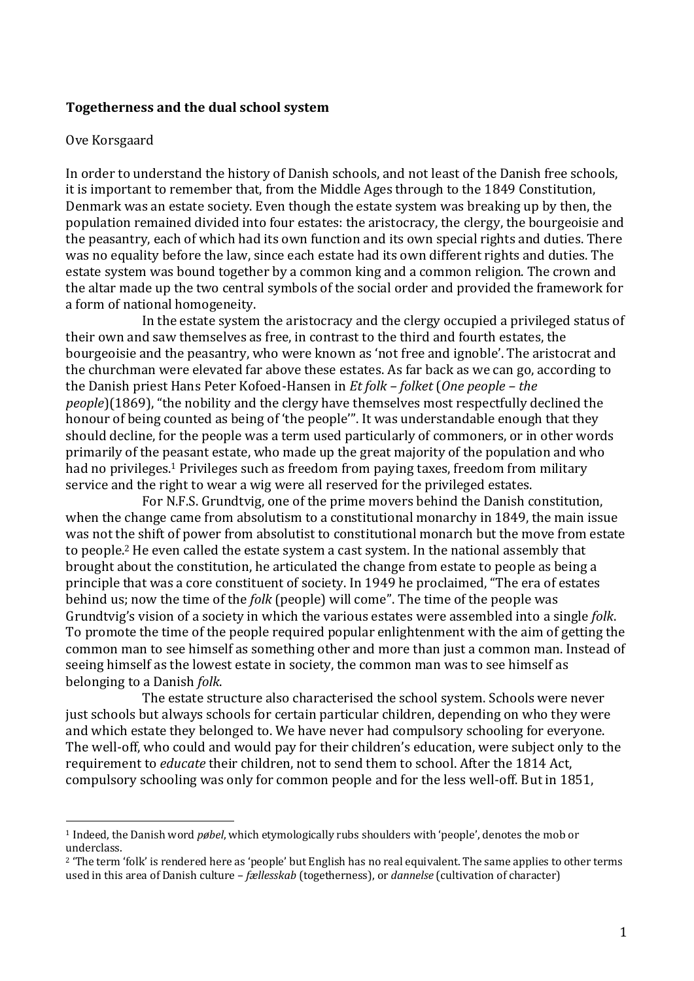#### **Togetherness and the dual school system**

#### Ove Korsgaard

 $\overline{a}$ 

In order to understand the history of Danish schools, and not least of the Danish free schools, it is important to remember that, from the Middle Ages through to the 1849 Constitution, Denmark was an estate society. Even though the estate system was breaking up by then, the population remained divided into four estates: the aristocracy, the clergy, the bourgeoisie and the peasantry, each of which had its own function and its own special rights and duties. There was no equality before the law, since each estate had its own different rights and duties. The estate system was bound together by a common king and a common religion. The crown and the altar made up the two central symbols of the social order and provided the framework for a form of national homogeneity.

In the estate system the aristocracy and the clergy occupied a privileged status of their own and saw themselves as free, in contrast to the third and fourth estates, the bourgeoisie and the peasantry, who were known as 'not free and ignoble'. The aristocrat and the churchman were elevated far above these estates. As far back as we can go, according to the Danish priest Hans Peter Kofoed-Hansen in *Et folk – folket* (*One people – the people*)(1869), "the nobility and the clergy have themselves most respectfully declined the honour of being counted as being of 'the people'". It was understandable enough that they should decline, for the people was a term used particularly of commoners, or in other words primarily of the peasant estate, who made up the great majority of the population and who had no privileges.<sup>1</sup> Privileges such as freedom from paying taxes, freedom from military service and the right to wear a wig were all reserved for the privileged estates.

For N.F.S. Grundtvig, one of the prime movers behind the Danish constitution, when the change came from absolutism to a constitutional monarchy in 1849, the main issue was not the shift of power from absolutist to constitutional monarch but the move from estate to people.<sup>2</sup> He even called the estate system a cast system. In the national assembly that brought about the constitution, he articulated the change from estate to people as being a principle that was a core constituent of society. In 1949 he proclaimed, "The era of estates behind us; now the time of the *folk* (people) will come". The time of the people was Grundtvig's vision of a society in which the various estates were assembled into a single *folk*. To promote the time of the people required popular enlightenment with the aim of getting the common man to see himself as something other and more than just a common man. Instead of seeing himself as the lowest estate in society, the common man was to see himself as belonging to a Danish *folk*.

The estate structure also characterised the school system. Schools were never just schools but always schools for certain particular children, depending on who they were and which estate they belonged to. We have never had compulsory schooling for everyone. The well-off, who could and would pay for their children's education, were subject only to the requirement to *educate* their children, not to send them to school. After the 1814 Act, compulsory schooling was only for common people and for the less well-off. But in 1851,

<sup>1</sup> Indeed, the Danish word *pøbel*, which etymologically rubs shoulders with 'people', denotes the mob or underclass.

<sup>2</sup> 'The term 'folk' is rendered here as 'people' but English has no real equivalent. The same applies to other terms used in this area of Danish culture – *fællesskab* (togetherness), or *dannelse* (cultivation of character)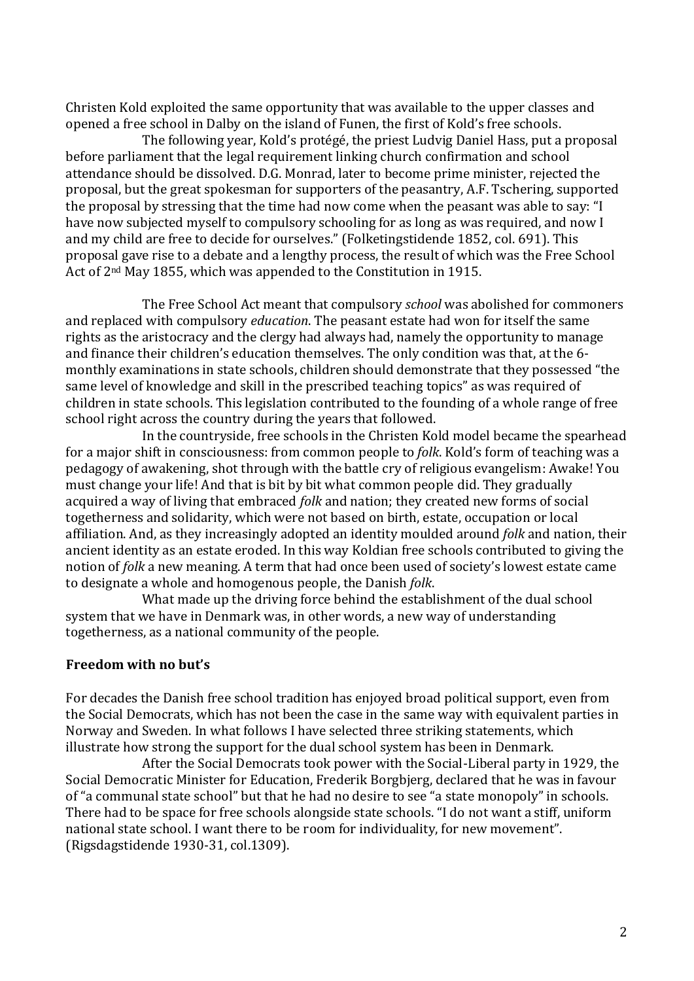Christen Kold exploited the same opportunity that was available to the upper classes and opened a free school in Dalby on the island of Funen, the first of Kold's free schools.

The following year, Kold's protégé, the priest Ludvig Daniel Hass, put a proposal before parliament that the legal requirement linking church confirmation and school attendance should be dissolved. D.G. Monrad, later to become prime minister, rejected the proposal, but the great spokesman for supporters of the peasantry, A.F. Tschering, supported the proposal by stressing that the time had now come when the peasant was able to say: "I have now subjected myself to compulsory schooling for as long as was required, and now I and my child are free to decide for ourselves." (Folketingstidende 1852, col. 691). This proposal gave rise to a debate and a lengthy process, the result of which was the Free School Act of 2nd May 1855, which was appended to the Constitution in 1915.

The Free School Act meant that compulsory *school* was abolished for commoners and replaced with compulsory *education*. The peasant estate had won for itself the same rights as the aristocracy and the clergy had always had, namely the opportunity to manage and finance their children's education themselves. The only condition was that, at the 6 monthly examinations in state schools, children should demonstrate that they possessed "the same level of knowledge and skill in the prescribed teaching topics" as was required of children in state schools. This legislation contributed to the founding of a whole range of free school right across the country during the years that followed.

In the countryside, free schools in the Christen Kold model became the spearhead for a major shift in consciousness: from common people to *folk*. Kold's form of teaching was a pedagogy of awakening, shot through with the battle cry of religious evangelism: Awake! You must change your life! And that is bit by bit what common people did. They gradually acquired a way of living that embraced *folk* and nation; they created new forms of social togetherness and solidarity, which were not based on birth, estate, occupation or local affiliation. And, as they increasingly adopted an identity moulded around *folk* and nation, their ancient identity as an estate eroded. In this way Koldian free schools contributed to giving the notion of *folk* a new meaning. A term that had once been used of society's lowest estate came to designate a whole and homogenous people, the Danish *folk*.

What made up the driving force behind the establishment of the dual school system that we have in Denmark was, in other words, a new way of understanding togetherness, as a national community of the people.

# **Freedom with no but's**

For decades the Danish free school tradition has enjoyed broad political support, even from the Social Democrats, which has not been the case in the same way with equivalent parties in Norway and Sweden. In what follows I have selected three striking statements, which illustrate how strong the support for the dual school system has been in Denmark.

After the Social Democrats took power with the Social-Liberal party in 1929, the Social Democratic Minister for Education, Frederik Borgbjerg, declared that he was in favour of "a communal state school" but that he had no desire to see "a state monopoly" in schools. There had to be space for free schools alongside state schools. "I do not want a stiff, uniform national state school. I want there to be room for individuality, for new movement". (Rigsdagstidende 1930-31, col.1309).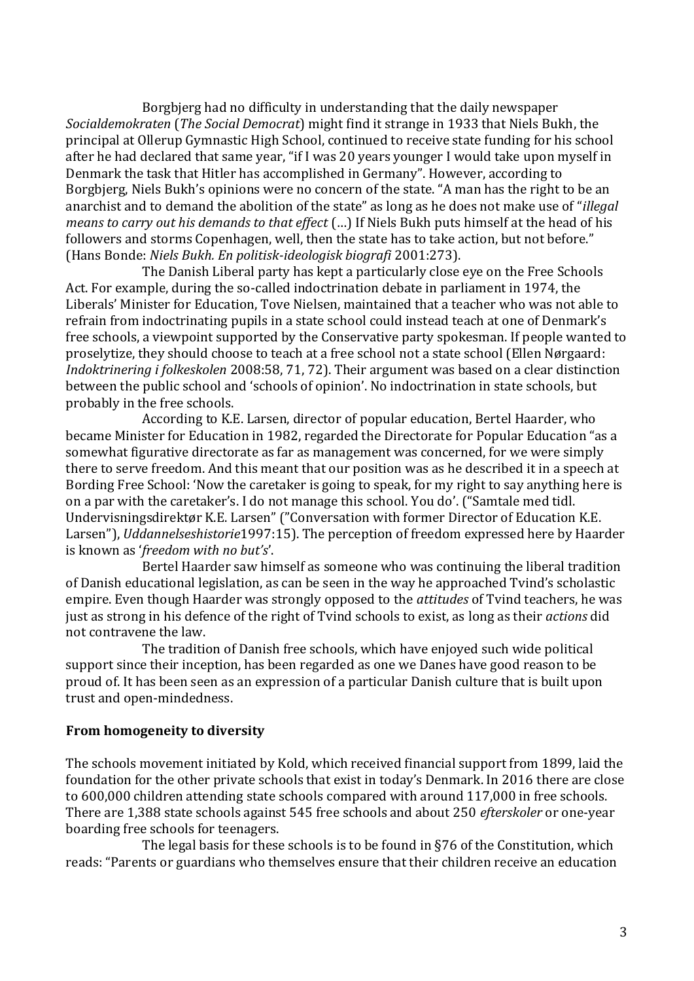Borgbjerg had no difficulty in understanding that the daily newspaper *Socialdemokraten* (*The Social Democrat*) might find it strange in 1933 that Niels Bukh, the principal at Ollerup Gymnastic High School, continued to receive state funding for his school after he had declared that same year, "if I was 20 years younger I would take upon myself in Denmark the task that Hitler has accomplished in Germany". However, according to Borgbjerg, Niels Bukh's opinions were no concern of the state. "A man has the right to be an anarchist and to demand the abolition of the state" as long as he does not make use of "*illegal means to carry out his demands to that effect* (…) If Niels Bukh puts himself at the head of his followers and storms Copenhagen, well, then the state has to take action, but not before." (Hans Bonde: *Niels Bukh. En politisk-ideologisk biografi* 2001:273).

The Danish Liberal party has kept a particularly close eye on the Free Schools Act. For example, during the so-called indoctrination debate in parliament in 1974, the Liberals' Minister for Education, Tove Nielsen, maintained that a teacher who was not able to refrain from indoctrinating pupils in a state school could instead teach at one of Denmark's free schools, a viewpoint supported by the Conservative party spokesman. If people wanted to proselytize, they should choose to teach at a free school not a state school (Ellen Nørgaard: *Indoktrinering i folkeskolen* 2008:58, 71, 72). Their argument was based on a clear distinction between the public school and 'schools of opinion'. No indoctrination in state schools, but probably in the free schools.

According to K.E. Larsen, director of popular education, Bertel Haarder, who became Minister for Education in 1982, regarded the Directorate for Popular Education "as a somewhat figurative directorate as far as management was concerned, for we were simply there to serve freedom. And this meant that our position was as he described it in a speech at Bording Free School: 'Now the caretaker is going to speak, for my right to say anything here is on a par with the caretaker's. I do not manage this school. You do'. ("Samtale med tidl. Undervisningsdirektør K.E. Larsen" ("Conversation with former Director of Education K.E. Larsen"), *Uddannelseshistorie*1997:15). The perception of freedom expressed here by Haarder is known as '*freedom with no but's*'.

Bertel Haarder saw himself as someone who was continuing the liberal tradition of Danish educational legislation, as can be seen in the way he approached Tvind's scholastic empire. Even though Haarder was strongly opposed to the *attitudes* of Tvind teachers, he was just as strong in his defence of the right of Tvind schools to exist, as long as their *actions* did not contravene the law.

The tradition of Danish free schools, which have enjoyed such wide political support since their inception, has been regarded as one we Danes have good reason to be proud of. It has been seen as an expression of a particular Danish culture that is built upon trust and open-mindedness.

## **From homogeneity to diversity**

The schools movement initiated by Kold, which received financial support from 1899, laid the foundation for the other private schools that exist in today's Denmark. In 2016 there are close to 600,000 children attending state schools compared with around 117,000 in free schools. There are 1,388 state schools against 545 free schools and about 250 *efterskoler* or one-year boarding free schools for teenagers.

The legal basis for these schools is to be found in §76 of the Constitution, which reads: "Parents or guardians who themselves ensure that their children receive an education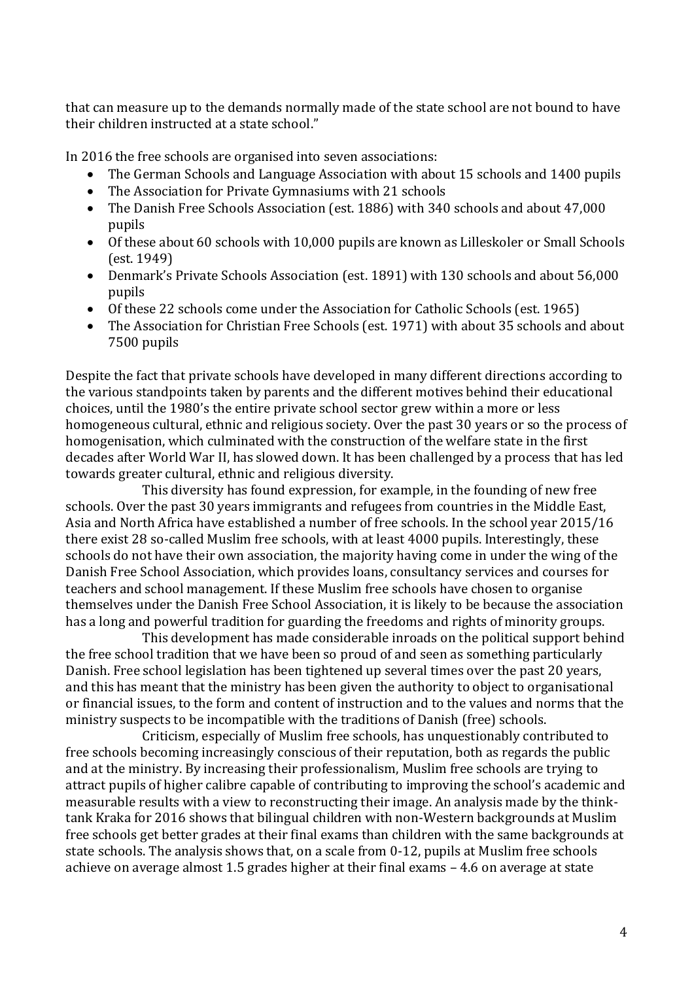that can measure up to the demands normally made of the state school are not bound to have their children instructed at a state school."

In 2016 the free schools are organised into seven associations:

- The German Schools and Language Association with about 15 schools and 1400 pupils
- The Association for Private Gymnasiums with 21 schools
- The Danish Free Schools Association (est. 1886) with 340 schools and about 47,000 pupils
- Of these about 60 schools with 10,000 pupils are known as Lilleskoler or Small Schools (est. 1949)
- Denmark's Private Schools Association (est. 1891) with 130 schools and about 56,000 pupils
- Of these 22 schools come under the Association for Catholic Schools (est. 1965)
- The Association for Christian Free Schools (est. 1971) with about 35 schools and about 7500 pupils

Despite the fact that private schools have developed in many different directions according to the various standpoints taken by parents and the different motives behind their educational choices, until the 1980's the entire private school sector grew within a more or less homogeneous cultural, ethnic and religious society. Over the past 30 years or so the process of homogenisation, which culminated with the construction of the welfare state in the first decades after World War II, has slowed down. It has been challenged by a process that has led towards greater cultural, ethnic and religious diversity.

This diversity has found expression, for example, in the founding of new free schools. Over the past 30 years immigrants and refugees from countries in the Middle East, Asia and North Africa have established a number of free schools. In the school year 2015/16 there exist 28 so-called Muslim free schools, with at least 4000 pupils. Interestingly, these schools do not have their own association, the majority having come in under the wing of the Danish Free School Association, which provides loans, consultancy services and courses for teachers and school management. If these Muslim free schools have chosen to organise themselves under the Danish Free School Association, it is likely to be because the association has a long and powerful tradition for guarding the freedoms and rights of minority groups.

This development has made considerable inroads on the political support behind the free school tradition that we have been so proud of and seen as something particularly Danish. Free school legislation has been tightened up several times over the past 20 years, and this has meant that the ministry has been given the authority to object to organisational or financial issues, to the form and content of instruction and to the values and norms that the ministry suspects to be incompatible with the traditions of Danish (free) schools.

Criticism, especially of Muslim free schools, has unquestionably contributed to free schools becoming increasingly conscious of their reputation, both as regards the public and at the ministry. By increasing their professionalism, Muslim free schools are trying to attract pupils of higher calibre capable of contributing to improving the school's academic and measurable results with a view to reconstructing their image. An analysis made by the thinktank Kraka for 2016 shows that bilingual children with non-Western backgrounds at Muslim free schools get better grades at their final exams than children with the same backgrounds at state schools. The analysis shows that, on a scale from 0-12, pupils at Muslim free schools achieve on average almost 1.5 grades higher at their final exams – 4.6 on average at state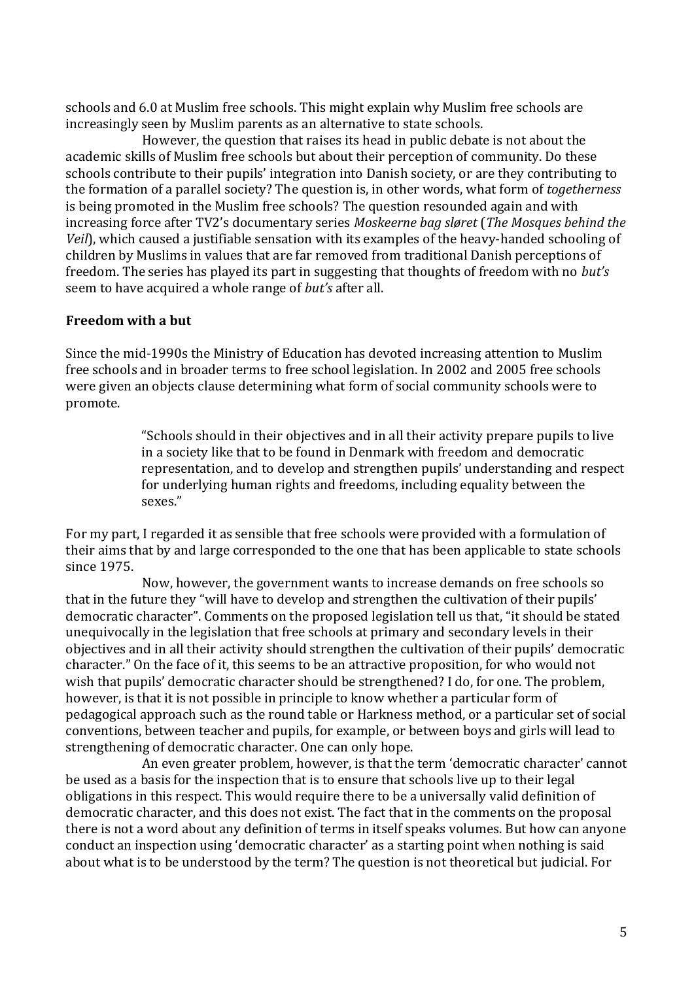schools and 6.0 at Muslim free schools. This might explain why Muslim free schools are increasingly seen by Muslim parents as an alternative to state schools.

However, the question that raises its head in public debate is not about the academic skills of Muslim free schools but about their perception of community. Do these schools contribute to their pupils' integration into Danish society, or are they contributing to the formation of a parallel society? The question is, in other words, what form of *togetherness* is being promoted in the Muslim free schools? The question resounded again and with increasing force after TV2's documentary series *Moskeerne bag sløret* (*The Mosques behind the Veil*), which caused a justifiable sensation with its examples of the heavy-handed schooling of children by Muslims in values that are far removed from traditional Danish perceptions of freedom. The series has played its part in suggesting that thoughts of freedom with no *but's* seem to have acquired a whole range of *but's* after all.

## **Freedom with a but**

Since the mid-1990s the Ministry of Education has devoted increasing attention to Muslim free schools and in broader terms to free school legislation. In 2002 and 2005 free schools were given an objects clause determining what form of social community schools were to promote.

> "Schools should in their objectives and in all their activity prepare pupils to live in a society like that to be found in Denmark with freedom and democratic representation, and to develop and strengthen pupils' understanding and respect for underlying human rights and freedoms, including equality between the sexes."

For my part, I regarded it as sensible that free schools were provided with a formulation of their aims that by and large corresponded to the one that has been applicable to state schools since 1975.

Now, however, the government wants to increase demands on free schools so that in the future they "will have to develop and strengthen the cultivation of their pupils' democratic character". Comments on the proposed legislation tell us that, "it should be stated unequivocally in the legislation that free schools at primary and secondary levels in their objectives and in all their activity should strengthen the cultivation of their pupils' democratic character." On the face of it, this seems to be an attractive proposition, for who would not wish that pupils' democratic character should be strengthened? I do, for one. The problem, however, is that it is not possible in principle to know whether a particular form of pedagogical approach such as the round table or Harkness method, or a particular set of social conventions, between teacher and pupils, for example, or between boys and girls will lead to strengthening of democratic character. One can only hope.

An even greater problem, however, is that the term 'democratic character' cannot be used as a basis for the inspection that is to ensure that schools live up to their legal obligations in this respect. This would require there to be a universally valid definition of democratic character, and this does not exist. The fact that in the comments on the proposal there is not a word about any definition of terms in itself speaks volumes. But how can anyone conduct an inspection using 'democratic character' as a starting point when nothing is said about what is to be understood by the term? The question is not theoretical but judicial. For